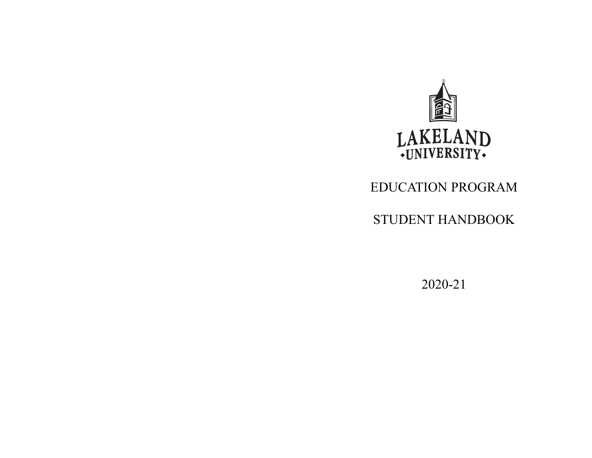

# EDUCATION PROGRAM

STUDENT HANDBOOK

202021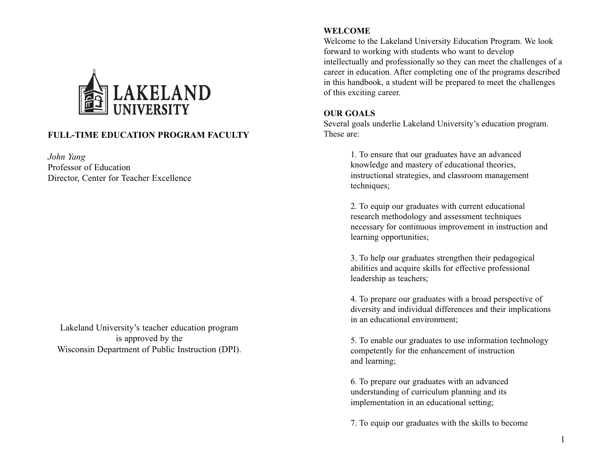

# **FULLTIME EDUCATION PROGRAM FACULTY**

*John Yang* Professor of Education Director, Center for Teacher Excellence

Lakeland University's teacher education program is approved by the Wisconsin Department of Public Instruction (DPI).

#### **WELCOME**

Welcome to the Lakeland University Education Program. We look forward to working with students who want to develop intellectually and professionally so they can meet the challenges of a career in education. After completing one of the programs described in this handbook, a student will be prepared to meet the challenges of this exciting career.

#### **OUR GOALS**

Several goals underlie Lakeland University's education program. These are:

> 1. To ensure that our graduates have an advanced knowledge and mastery of educational theories, instructional strategies, and classroom management techniques;

2. To equip our graduates with current educational research methodology and assessment techniques necessary for continuous improvement in instruction and learning opportunities;

3. To help our graduates strengthen their pedagogical abilities and acquire skills for effective professional leadership as teachers;

4. To prepare our graduates with a broad perspective of diversity and individual differences and their implications in an educational environment;

5. To enable our graduates to use information technology competently for the enhancement of instruction and learning;

6. To prepare our graduates with an advanced understanding of curriculum planning and its implementation in an educational setting;

7. To equip our graduates with the skills to become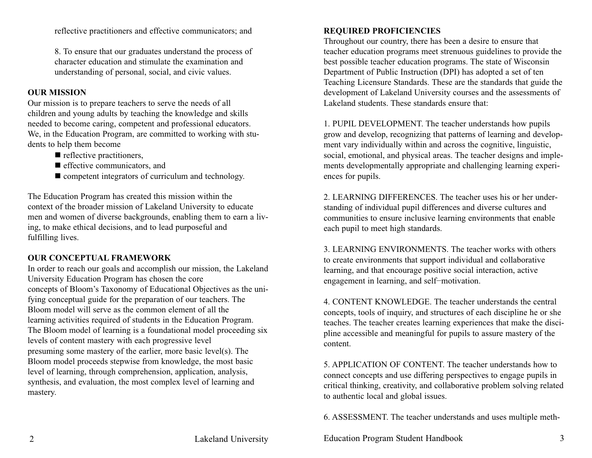reflective practitioners and effective communicators; and

8. To ensure that our graduates understand the process of character education and stimulate the examination and understanding of personal, social, and civic values.

#### **OUR MISSION**

Our mission is to prepare teachers to serve the needs of all children and young adults by teaching the knowledge and skills needed to become caring, competent and professional educators. We, in the Education Program, are committed to working with students to help them become

- $\blacksquare$  reflective practitioners,
- $\blacksquare$  effective communicators, and
- $\blacksquare$  competent integrators of curriculum and technology.

The Education Program has created this mission within the context of the broader mission of Lakeland University to educate men and women of diverse backgrounds, enabling them to earn a living, to make ethical decisions, and to lead purposeful and fulfilling lives.

## **OUR CONCEPTUAL FRAMEWORK**

In order to reach our goals and accomplish our mission, the Lakeland University Education Program has chosen the core concepts of Bloom's Taxonomy of Educational Objectives as the unifying conceptual guide for the preparation of our teachers. The Bloom model will serve as the common element of all the learning activities required of students in the Education Program. The Bloom model of learning is a foundational model proceeding six levels of content mastery with each progressive level presuming some mastery of the earlier, more basic level(s). The Bloom model proceeds stepwise from knowledge, the most basic level of learning, through comprehension, application, analysis, synthesis, and evaluation, the most complex level of learning and mastery.

# **REQUIRED PROFICIENCIES**

Throughout our country, there has been a desire to ensure that teacher education programs meet strenuous guidelines to provide the best possible teacher education programs. The state of Wisconsin Department of Public Instruction (DPI) has adopted a set of ten Teaching Licensure Standards. These are the standards that guide the development of Lakeland University courses and the assessments of Lakeland students. These standards ensure that:

1. PUPIL DEVELOPMENT. The teacher understands how pupils grow and develop, recognizing that patterns of learning and development vary individually within and across the cognitive, linguistic, social, emotional, and physical areas. The teacher designs and implements developmentally appropriate and challenging learning experiences for pupils.

2. LEARNING DIFFERENCES. The teacher uses his or her understanding of individual pupil differences and diverse cultures and communities to ensure inclusive learning environments that enable each pupil to meet high standards.

3. LEARNING ENVIRONMENTS. The teacher works with others to create environments that support individual and collaborative learning, and that encourage positive social interaction, active engagement in learning, and self−motivation.

4. CONTENT KNOWLEDGE. The teacher understands the central concepts, tools of inquiry, and structures of each discipline he or she teaches. The teacher creates learning experiences that make the discipline accessible and meaningful for pupils to assure mastery of the content.

5. APPLICATION OF CONTENT. The teacher understands how to connect concepts and use differing perspectives to engage pupils in critical thinking, creativity, and collaborative problem solving related to authentic local and global issues.

6. ASSESSMENT. The teacher understands and uses multiple meth-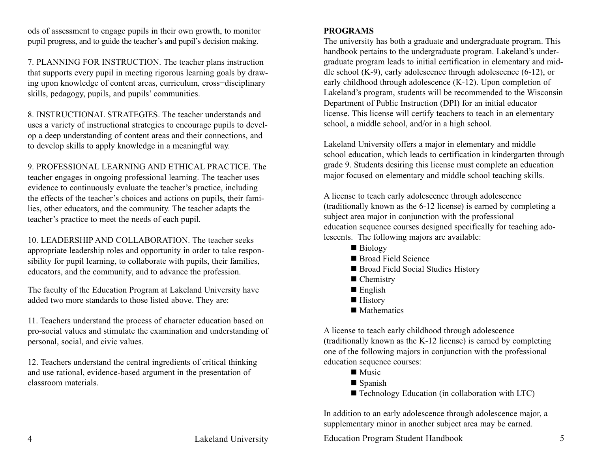ods of assessment to engage pupils in their own growth, to monitor pupil progress, and to guide the teacher's and pupil's decision making.

7. PLANNING FOR INSTRUCTION. The teacher plans instruction that supports every pupil in meeting rigorous learning goals by drawing upon knowledge of content areas, curriculum, cross−disciplinary skills, pedagogy, pupils, and pupils' communities.

8. INSTRUCTIONAL STRATEGIES. The teacher understands and uses a variety of instructional strategies to encourage pupils to develop a deep understanding of content areas and their connections, and to develop skills to apply knowledge in a meaningful way.

9. PROFESSIONAL LEARNING AND ETHICAL PRACTICE. The teacher engages in ongoing professional learning. The teacher uses evidence to continuously evaluate the teacher's practice, including the effects of the teacher's choices and actions on pupils, their families, other educators, and the community. The teacher adapts the teacher's practice to meet the needs of each pupil.

10. LEADERSHIP AND COLLABORATION. The teacher seeks appropriate leadership roles and opportunity in order to take responsibility for pupil learning, to collaborate with pupils, their families, educators, and the community, and to advance the profession.

The faculty of the Education Program at Lakeland University have added two more standards to those listed above. They are:

11. Teachers understand the process of character education based on pro-social values and stimulate the examination and understanding of personal, social, and civic values.

12. Teachers understand the central ingredients of critical thinking and use rational, evidence-based argument in the presentation of classroom materials.

# **PROGRAMS**

The university has both a graduate and undergraduate program. This handbook pertains to the undergraduate program. Lakeland's undergraduate program leads to initial certification in elementary and middle school  $(K-9)$ , early adolescence through adolescence  $(6-12)$ , or early childhood through adolescence  $(K-12)$ . Upon completion of Lakeland's program, students will be recommended to the Wisconsin Department of Public Instruction (DPI) for an initial educator license. This license will certify teachers to teach in an elementary school, a middle school, and/or in a high school.

Lakeland University offers a major in elementary and middle school education, which leads to certification in kindergarten through grade 9. Students desiring this license must complete an education major focused on elementary and middle school teaching skills.

A license to teach early adolescence through adolescence (traditionally known as the 612 license) is earned by completing a subject area major in conjunction with the professional education sequence courses designed specifically for teaching adolescents. The following majors are available:

- $\blacksquare$  Biology
- Broad Field Science
- Broad Field Social Studies History
- $\blacksquare$  Chemistry
- $\blacksquare$  English
- History
- $\blacksquare$  Mathematics

A license to teach early childhood through adolescence  $($ traditionally known as the K-12 license $)$  is earned by completing one of the following majors in conjunction with the professional education sequence courses:

- $\blacksquare$  Music
- $\blacksquare$  Spanish
- $\blacksquare$  Technology Education (in collaboration with LTC)

In addition to an early adolescence through adolescence major, a supplementary minor in another subject area may be earned.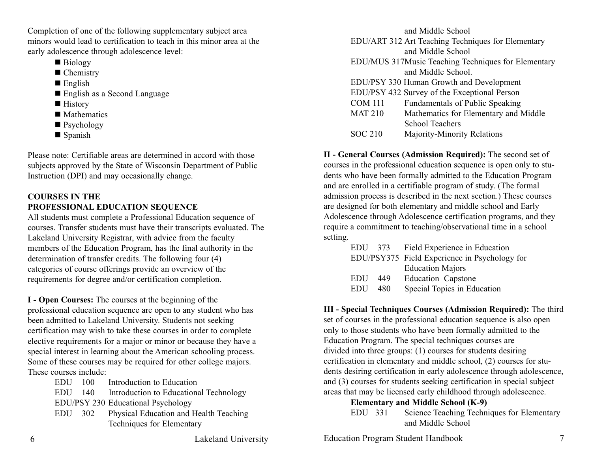Completion of one of the following supplementary subject area minors would lead to certification to teach in this minor area at the early adolescence through adolescence level:

- $\blacksquare$  Biology
- $\blacksquare$  Chemistry
- $\blacksquare$  English
- English as a Second Language
- History
- $\blacksquare$  Mathematics
- Psychology
- $\blacksquare$  Spanish

Please note: Certifiable areas are determined in accord with those subjects approved by the State of Wisconsin Department of Public Instruction (DPI) and may occasionally change.

# **COURSES IN THE PROFESSIONAL EDUCATION SEQUENCE**

All students must complete a Professional Education sequence of courses. Transfer students must have their transcripts evaluated. The Lakeland University Registrar, with advice from the faculty members of the Education Program, has the final authority in the determination of transfer credits. The following four (4) categories of course offerings provide an overview of the requirements for degree and/or certification completion.

**I** - Open Courses: The courses at the beginning of the professional education sequence are open to any student who has been admitted to Lakeland University. Students not seeking certification may wish to take these courses in order to complete elective requirements for a major or minor or because they have a special interest in learning about the American schooling process. Some of these courses may be required for other college majors. These courses include:

> EDU 100 Introduction to Education EDU 140 Introduction to Educational Technology EDU/PSY 230 Educational Psychology EDU 302 Physical Education and Health Teaching Techniques for Elementary

and Middle School EDU/ART 312 Art Teaching Techniques for Elementary and Middle School EDU/MUS 317Music Teaching Techniques for Elementary and Middle School. EDU/PSY 330 Human Growth and Development EDU/PSY 432 Survey of the Exceptional Person COM 111 Fundamentals of Public Speaking MAT 210 Mathematics for Elementary and Middle School Teachers SOC 210 Majority-Minority Relations

**II General Courses (Admission Required):** The second set of courses in the professional education sequence is open only to students who have been formally admitted to the Education Program and are enrolled in a certifiable program of study. (The formal admission process is described in the next section.) These courses are designed for both elementary and middle school and Early Adolescence through Adolescence certification programs, and they require a commitment to teaching/observational time in a school setting.

|            | EDU 373 | Field Experience in Education                 |
|------------|---------|-----------------------------------------------|
|            |         | EDU/PSY375 Field Experience in Psychology for |
|            |         | <b>Education Majors</b>                       |
| EDU        | 449     | <b>Education Capstone</b>                     |
| <b>EDU</b> | 480     | Special Topics in Education                   |

**III - Special Techniques Courses (Admission Required):** The third set of courses in the professional education sequence is also open only to those students who have been formally admitted to the Education Program. The special techniques courses are divided into three groups: (1) courses for students desiring certification in elementary and middle school, (2) courses for students desiring certification in early adolescence through adolescence, and (3) courses for students seeking certification in special subject areas that may be licensed early childhood through adolescence.

## **Elementary and Middle School (K-9)**

EDU 331 Science Teaching Techniques for Elementary and Middle School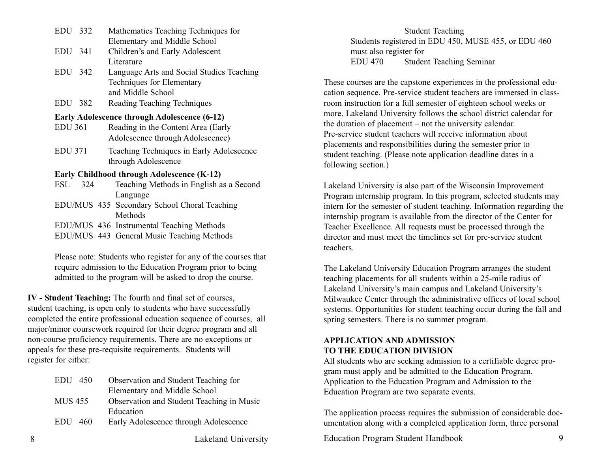| EDU 332                            |     | Mathematics Teaching Techniques for                           |
|------------------------------------|-----|---------------------------------------------------------------|
|                                    |     | Elementary and Middle School                                  |
| EDU 341                            |     | Children's and Early Adolescent                               |
|                                    |     | Literature                                                    |
| EDU 342                            |     | Language Arts and Social Studies Teaching                     |
|                                    |     | Techniques for Elementary                                     |
|                                    |     | and Middle School                                             |
| EDU 382                            |     | Reading Teaching Techniques                                   |
|                                    |     | <b>Early Adolescence through Adolescence (6-12)</b>           |
| EDU 361                            |     | Reading in the Content Area (Early                            |
|                                    |     | Adolescence through Adolescence)                              |
| <b>EDU 371</b>                     |     | Teaching Techniques in Early Adolescence                      |
|                                    |     | through Adolescence                                           |
|                                    |     | <b>Early Childhood through Adolescence (K-12)</b>             |
| $\mathop{\hbox{\rm ESL}}\nolimits$ | 324 | Teaching Methods in English as a Second                       |
|                                    |     | Language                                                      |
|                                    |     | EDU/MUS 435 Secondary School Choral Teaching                  |
|                                    |     | Methods                                                       |
|                                    |     | EDU/MUS 436 Instrumental Teaching Methods                     |
|                                    |     | EDU/MUS 443 General Music Teaching Methods                    |
|                                    |     | Plasse note: Students who register for any of the courses the |
|                                    |     |                                                               |

Please note: Students who register for any of the courses that require admission to the Education Program prior to being admitted to the program will be asked to drop the course.

**IV - Student Teaching:** The fourth and final set of courses, student teaching, is open only to students who have successfully completed the entire professional education sequence of courses, all major/minor coursework required for their degree program and all non-course proficiency requirements. There are no exceptions or appeals for these pre-requisite requirements. Students will register for either:

|   | EDU 450   | Observation and Student Teaching for      |
|---|-----------|-------------------------------------------|
|   |           | Elementary and Middle School              |
|   | MUS 455   | Observation and Student Teaching in Music |
|   |           | Education                                 |
|   | $EDU$ 460 | Early Adolescence through Adolescence     |
|   |           |                                           |
| 8 |           | Lakeland University                       |

Student Teaching Students registered in EDU 450, MUSE 455, or EDU 460 must also register for EDU 470 Student Teaching Seminar

These courses are the capstone experiences in the professional education sequence. Pre-service student teachers are immersed in classroom instruction for a full semester of eighteen school weeks or more. Lakeland University follows the school district calendar for the duration of placement – not the university calendar. Pre-service student teachers will receive information about placements and responsibilities during the semester prior to student teaching. (Please note application deadline dates in a following section.)

Lakeland University is also part of the Wisconsin Improvement Program internship program. In this program, selected students may intern for the semester of student teaching. Information regarding the internship program is available from the director of the Center for Teacher Excellence. All requests must be processed through the director and must meet the timelines set for pre-service student teachers.

The Lakeland University Education Program arranges the student teaching placements for all students within a 25-mile radius of Lakeland University's main campus and Lakeland University's Milwaukee Center through the administrative offices of local school systems. Opportunities for student teaching occur during the fall and spring semesters. There is no summer program.

## **APPLICATION AND ADMISSION TO THE EDUCATION DIVISION**

All students who are seeking admission to a certifiable degree program must apply and be admitted to the Education Program. Application to the Education Program and Admission to the Education Program are two separate events.

The application process requires the submission of considerable documentation along with a completed application form, three personal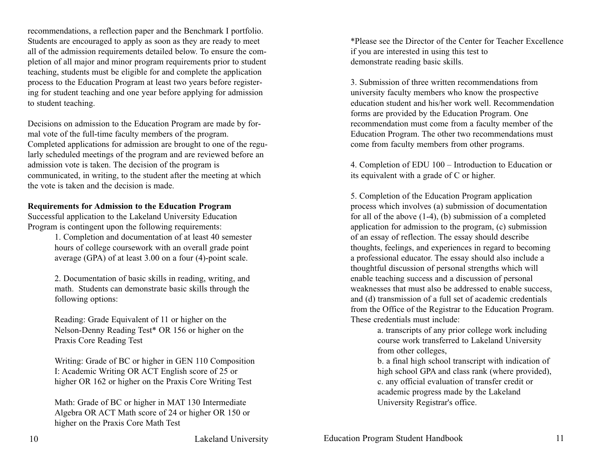recommendations, a reflection paper and the Benchmark I portfolio. Students are encouraged to apply as soon as they are ready to meet all of the admission requirements detailed below. To ensure the completion of all major and minor program requirements prior to student teaching, students must be eligible for and complete the application process to the Education Program at least two years before registering for student teaching and one year before applying for admission to student teaching.

Decisions on admission to the Education Program are made by formal vote of the full-time faculty members of the program. Completed applications for admission are brought to one of the regularly scheduled meetings of the program and are reviewed before an admission vote is taken. The decision of the program is communicated, in writing, to the student after the meeting at which the vote is taken and the decision is made.

#### **Requirements for Admission to the Education Program**

Successful application to the Lakeland University Education Program is contingent upon the following requirements:

> 1. Completion and documentation of at least 40 semester hours of college coursework with an overall grade point average (GPA) of at least  $3.00$  on a four (4)-point scale.

> 2. Documentation of basic skills in reading, writing, and math. Students can demonstrate basic skills through the following options:

Reading: Grade Equivalent of 11 or higher on the Nelson-Denny Reading Test\* OR 156 or higher on the Praxis Core Reading Test

Writing: Grade of BC or higher in GEN 110 Composition I: Academic Writing OR ACT English score of 25 or higher OR 162 or higher on the Praxis Core Writing Test

Math: Grade of BC or higher in MAT 130 Intermediate Algebra OR ACT Math score of 24 or higher OR 150 or higher on the Praxis Core Math Test

\*Please see the Director of the Center for Teacher Excellence if you are interested in using this test to demonstrate reading basic skills.

3. Submission of three written recommendations from university faculty members who know the prospective education student and his/her work well. Recommendation forms are provided by the Education Program. One recommendation must come from a faculty member of the Education Program. The other two recommendations must come from faculty members from other programs.

4. Completion of EDU 100 – Introduction to Education or its equivalent with a grade of C or higher.

5. Completion of the Education Program application process which involves (a) submission of documentation for all of the above  $(1-4)$ , (b) submission of a completed application for admission to the program, (c) submission of an essay of reflection. The essay should describe thoughts, feelings, and experiences in regard to becoming a professional educator. The essay should also include a thoughtful discussion of personal strengths which will enable teaching success and a discussion of personal weaknesses that must also be addressed to enable success, and (d) transmission of a full set of academic credentials from the Office of the Registrar to the Education Program. These credentials must include:

a. transcripts of any prior college work including course work transferred to Lakeland University from other colleges,

b. a final high school transcript with indication of high school GPA and class rank (where provided), c. any official evaluation of transfer credit or academic progress made by the Lakeland University Registrar's office.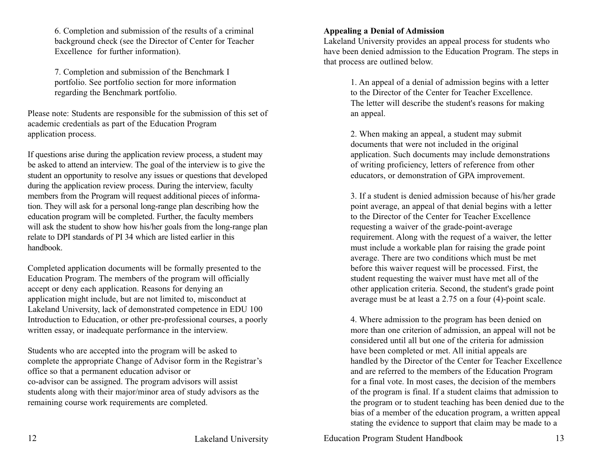6. Completion and submission of the results of a criminal background check (see the Director of Center for Teacher Excellence for further information).

7. Completion and submission of the Benchmark I portfolio. See portfolio section for more information regarding the Benchmark portfolio.

Please note: Students are responsible for the submission of this set of academic credentials as part of the Education Program application process.

If questions arise during the application review process, a student may be asked to attend an interview. The goal of the interview is to give the student an opportunity to resolve any issues or questions that developed during the application review process. During the interview, faculty members from the Program will request additional pieces of information. They will ask for a personal long-range plan describing how the education program will be completed. Further, the faculty members will ask the student to show how his/her goals from the long-range plan relate to DPI standards of PI 34 which are listed earlier in this handbook.

Completed application documents will be formally presented to the Education Program. The members of the program will officially accept or deny each application. Reasons for denying an application might include, but are not limited to, misconduct at Lakeland University, lack of demonstrated competence in EDU 100 Introduction to Education, or other pre-professional courses, a poorly written essay, or inadequate performance in the interview.

Students who are accepted into the program will be asked to complete the appropriate Change of Advisor form in the Registrar's office so that a permanent education advisor or co-advisor can be assigned. The program advisors will assist students along with their major/minor area of study advisors as the remaining course work requirements are completed.

#### **Appealing a Denial of Admission**

Lakeland University provides an appeal process for students who have been denied admission to the Education Program. The steps in that process are outlined below.

> 1. An appeal of a denial of admission begins with a letter to the Director of the Center for Teacher Excellence. The letter will describe the student's reasons for making an appeal.

> 2. When making an appeal, a student may submit documents that were not included in the original application. Such documents may include demonstrations of writing proficiency, letters of reference from other educators, or demonstration of GPA improvement.

3. If a student is denied admission because of his/her grade point average, an appeal of that denial begins with a letter to the Director of the Center for Teacher Excellence requesting a waiver of the grade-point-average requirement. Along with the request of a waiver, the letter must include a workable plan for raising the grade point average. There are two conditions which must be met before this waiver request will be processed. First, the student requesting the waiver must have met all of the other application criteria. Second, the student's grade point average must be at least a  $2.75$  on a four (4)-point scale.

4. Where admission to the program has been denied on more than one criterion of admission, an appeal will not be considered until all but one of the criteria for admission have been completed or met. All initial appeals are handled by the Director of the Center for Teacher Excellence and are referred to the members of the Education Program for a final vote. In most cases, the decision of the members of the program is final. If a student claims that admission to the program or to student teaching has been denied due to the bias of a member of the education program, a written appeal stating the evidence to support that claim may be made to a

12 Lakeland University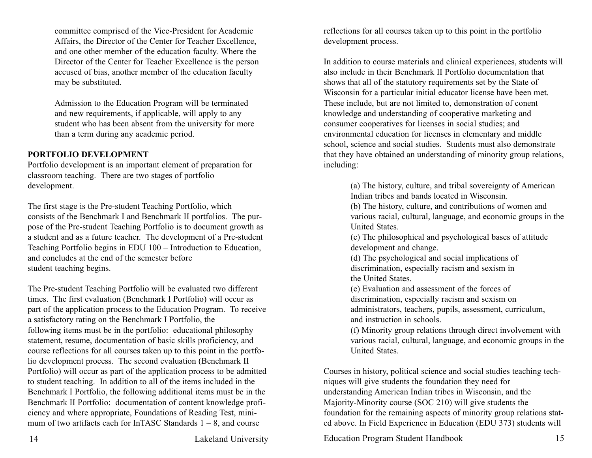committee comprised of the Vice-President for Academic Affairs, the Director of the Center for Teacher Excellence, and one other member of the education faculty. Where the Director of the Center for Teacher Excellence is the person accused of bias, another member of the education faculty may be substituted.

Admission to the Education Program will be terminated and new requirements, if applicable, will apply to any student who has been absent from the university for more than a term during any academic period.

#### **PORTFOLIO DEVELOPMENT**

Portfolio development is an important element of preparation for classroom teaching. There are two stages of portfolio development.

The first stage is the Pre-student Teaching Portfolio, which consists of the Benchmark I and Benchmark II portfolios. The purpose of the Pre-student Teaching Portfolio is to document growth as a student and as a future teacher. The development of a Pre-student Teaching Portfolio begins in EDU 100 – Introduction to Education, and concludes at the end of the semester before student teaching begins.

The Pre-student Teaching Portfolio will be evaluated two different times. The first evaluation (Benchmark I Portfolio) will occur as part of the application process to the Education Program. To receive a satisfactory rating on the Benchmark I Portfolio, the following items must be in the portfolio: educational philosophy statement, resume, documentation of basic skills proficiency, and course reflections for all courses taken up to this point in the portfolio development process. The second evaluation (Benchmark II Portfolio) will occur as part of the application process to be admitted to student teaching. In addition to all of the items included in the Benchmark I Portfolio, the following additional items must be in the Benchmark II Portfolio: documentation of content knowledge proficiency and where appropriate, Foundations of Reading Test, minimum of two artifacts each for InTASC Standards  $1 - 8$ , and course

reflections for all courses taken up to this point in the portfolio development process.

In addition to course materials and clinical experiences, students will also include in their Benchmark II Portfolio documentation that shows that all of the statutory requirements set by the State of Wisconsin for a particular initial educator license have been met. These include, but are not limited to, demonstration of conent knowledge and understanding of cooperative marketing and consumer cooperatives for licenses in social studies; and environmental education for licenses in elementary and middle school, science and social studies. Students must also demonstrate that they have obtained an understanding of minority group relations, including:

> (a) The history, culture, and tribal sovereignty of American Indian tribes and bands located in Wisconsin.

(b) The history, culture, and contributions of women and various racial, cultural, language, and economic groups in the United States.

(c) The philosophical and psychological bases of attitude development and change.

(d) The psychological and social implications of discrimination, especially racism and sexism in the United States.

(e) Evaluation and assessment of the forces of discrimination, especially racism and sexism on administrators, teachers, pupils, assessment, curriculum, and instruction in schools.

(f) Minority group relations through direct involvement with various racial, cultural, language, and economic groups in the United States.

Courses in history, political science and social studies teaching techniques will give students the foundation they need for understanding American Indian tribes in Wisconsin, and the Majority-Minority course (SOC 210) will give students the foundation for the remaining aspects of minority group relations stated above. In Field Experience in Education (EDU 373) students will

Education Program Student Handbook 15

14 Lakeland University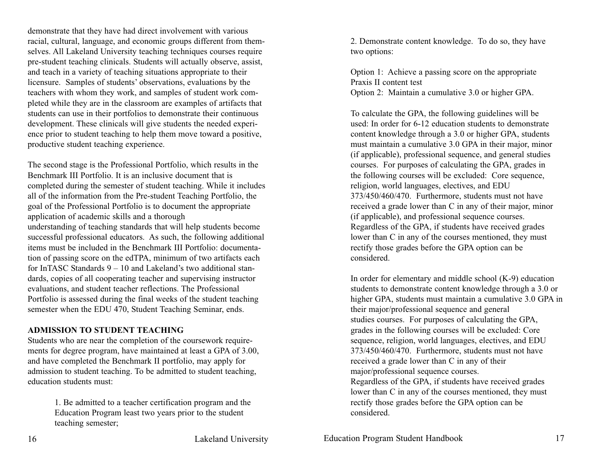demonstrate that they have had direct involvement with various racial, cultural, language, and economic groups different from themselves. All Lakeland University teaching techniques courses require prestudent teaching clinicals. Students will actually observe, assist, and teach in a variety of teaching situations appropriate to their licensure. Samples of students' observations, evaluations by the teachers with whom they work, and samples of student work completed while they are in the classroom are examples of artifacts that students can use in their portfolios to demonstrate their continuous development. These clinicals will give students the needed experience prior to student teaching to help them move toward a positive, productive student teaching experience.

The second stage is the Professional Portfolio, which results in the Benchmark III Portfolio. It is an inclusive document that is completed during the semester of student teaching. While it includes all of the information from the Prestudent Teaching Portfolio, the goal of the Professional Portfolio is to document the appropriate application of academic skills and a thorough understanding of teaching standards that will help students become successful professional educators. As such, the following additional items must be included in the Benchmark III Portfolio: documentation of passing score on the edTPA, minimum of two artifacts each for InTASC Standards 9 – 10 and Lakeland's two additional standards, copies of all cooperating teacher and supervising instructor evaluations, and student teacher reflections. The Professional Portfolio is assessed during the final weeks of the student teaching semester when the EDU 470, Student Teaching Seminar, ends.

#### **ADMISSION TO STUDENT TEACHING**

Students who are near the completion of the coursework requirements for degree program, have maintained at least a GPA of 3.00, and have completed the Benchmark II portfolio, may apply for admission to student teaching. To be admitted to student teaching, education students must:

> 1. Be admitted to a teacher certification program and the Education Program least two years prior to the student teaching semester;

2. Demonstrate content knowledge. To do so, they have two options:

Option 1: Achieve a passing score on the appropriate Praxis II content test Option 2: Maintain a cumulative 3.0 or higher GPA.

To calculate the GPA, the following guidelines will be used: In order for 612 education students to demonstrate content knowledge through a 3.0 or higher GPA, students must maintain a cumulative 3.0 GPA in their major, minor (if applicable), professional sequence, and general studies courses. For purposes of calculating the GPA, grades in the following courses will be excluded: Core sequence, religion, world languages, electives, and EDU 373/450/460/470. Furthermore, students must not have received a grade lower than C in any of their major, minor (if applicable), and professional sequence courses. Regardless of the GPA, if students have received grades lower than C in any of the courses mentioned, they must rectify those grades before the GPA option can be considered.

In order for elementary and middle school  $(K-9)$  education students to demonstrate content knowledge through a 3.0 or higher GPA, students must maintain a cumulative 3.0 GPA in their major/professional sequence and general studies courses. For purposes of calculating the GPA, grades in the following courses will be excluded: Core sequence, religion, world languages, electives, and EDU 373/450/460/470. Furthermore, students must not have received a grade lower than C in any of their major/professional sequence courses. Regardless of the GPA, if students have received grades lower than C in any of the courses mentioned, they must rectify those grades before the GPA option can be considered.

Education Program Student Handbook 17

16 Lakeland University